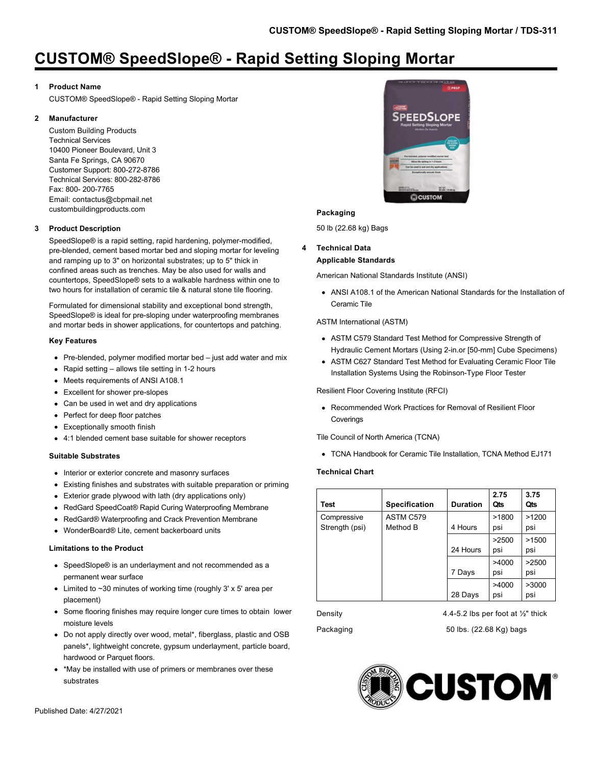## **1 Product Name**

CUSTOM® SpeedSlope® - Rapid Setting Sloping Mortar

## **2 Manufacturer**

Custom Building Products Technical Services 10400 Pioneer Boulevard, Unit 3 Santa Fe Springs, CA 90670 Customer Support: 800-272-8786 Technical Services: 800-282-8786 Fax: 800- 200-7765 Email: contactus@cbpmail.net custombuildingproducts.com

## **3 Product Description**

SpeedSlope® is a rapid setting, rapid hardening, polymer-modified, pre-blended, cement based mortar bed and sloping mortar for leveling and ramping up to 3" on horizontal substrates; up to 5" thick in confined areas such as trenches. May be also used for walls and countertops, SpeedSlope® sets to a walkable hardness within one to two hours for installation of ceramic tile & natural stone tile flooring.

Formulated for dimensional stability and exceptional bond strength, SpeedSlope® is ideal for pre-sloping under waterproofing membranes and mortar beds in shower applications, for countertops and patching.

## **Key Features**

- Pre-blended, polymer modified mortar bed just add water and mix
- Rapid setting allows tile setting in 1-2 hours
- Meets requirements of ANSI A108.1
- Excellent for shower pre-slopes
- Can be used in wet and dry applications
- Perfect for deep floor patches
- Exceptionally smooth finish
- 4:1 blended cement base suitable for shower receptors

## **Suitable Substrates**

- Interior or exterior concrete and masonry surfaces
- Existing finishes and substrates with suitable preparation or priming
- Exterior grade plywood with lath (dry applications only)
- RedGard SpeedCoat® Rapid Curing Waterproofing Membrane
- RedGard® Waterproofing and Crack Prevention Membrane
- WonderBoard® Lite, cement backerboard units

## **Limitations to the Product**

- SpeedSlope® is an underlayment and not recommended as a permanent wear surface
- Limited to ~30 minutes of working time (roughly 3' x 5' area per placement)
- Some flooring finishes may require longer cure times to obtain lower moisture levels
- Do not apply directly over wood, metal\*, fiberglass, plastic and OSB panels\*, lightweight concrete, gypsum underlayment, particle board, hardwood or Parquet floors.
- \*May be installed with use of primers or membranes over these substrates



## **Packaging**

50 lb (22.68 kg) Bags

## **4 Technical Data Applicable Standards**

American National Standards Institute (ANSI)

ANSI A108.1 of the American National Standards for the Installation of Ceramic Tile

## ASTM International (ASTM)

- ASTM C579 Standard Test Method for Compressive Strength of Hydraulic Cement Mortars (Using 2-in.or [50-mm] Cube Specimens)
- ASTM C627 Standard Test Method for Evaluating Ceramic Floor Tile Installation Systems Using the Robinson-Type Floor Tester

Resilient Floor Covering Institute (RFCI)

Recommended Work Practices for Removal of Resilient Floor Coverings

Tile Council of North America (TCNA)

TCNA Handbook for Ceramic Tile Installation, TCNA Method EJ171

## **Technical Chart**

| Test                          | <b>Specification</b>  | <b>Duration</b> | 2.75<br>Qts  | 3.75<br>Qts  |
|-------------------------------|-----------------------|-----------------|--------------|--------------|
| Compressive<br>Strength (psi) | ASTM C579<br>Method B | 4 Hours         | >1800<br>psi | >1200<br>psi |
|                               |                       | 24 Hours        | >2500<br>psi | >1500<br>psi |
|                               |                       | 7 Days          | >4000<br>psi | >2500<br>psi |
|                               |                       | 28 Days         | >4000<br>psi | >3000<br>psi |

Density  $4.4-5.2$  lbs per foot at  $\frac{1}{2}$ " thick

Packaging 60 lbs. (22.68 Kg) bags

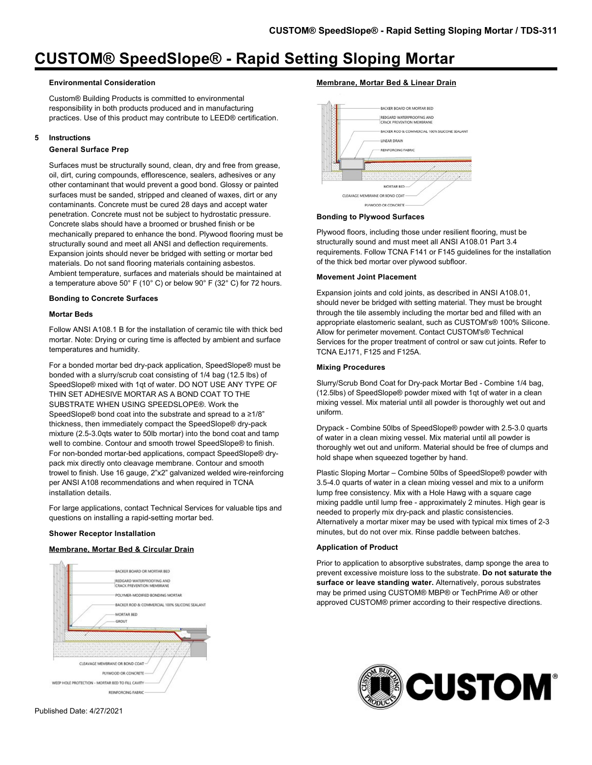#### **Environmental Consideration**

Custom® Building Products is committed to environmental responsibility in both products produced and in manufacturing practices. Use of this product may contribute to LEED® certification.

#### **5 Instructions**

## **General Surface Prep**

Surfaces must be structurally sound, clean, dry and free from grease, oil, dirt, curing compounds, efflorescence, sealers, adhesives or any other contaminant that would prevent a good bond. Glossy or painted surfaces must be sanded, stripped and cleaned of waxes, dirt or any contaminants. Concrete must be cured 28 days and accept water penetration. Concrete must not be subject to hydrostatic pressure. Concrete slabs should have a broomed or brushed finish or be mechanically prepared to enhance the bond. Plywood flooring must be structurally sound and meet all ANSI and deflection requirements. Expansion joints should never be bridged with setting or mortar bed materials. Do not sand flooring materials containing asbestos. Ambient temperature, surfaces and materials should be maintained at a temperature above 50° F (10° C) or below 90° F (32° C) for 72 hours.

#### **Bonding to Concrete Surfaces**

## **Mortar Beds**

Follow ANSI A108.1 B for the installation of ceramic tile with thick bed mortar. Note: Drying or curing time is affected by ambient and surface temperatures and humidity.

For a bonded mortar bed dry-pack application, SpeedSlope® must be bonded with a slurry/scrub coat consisting of 1/4 bag (12.5 lbs) of SpeedSlope® mixed with 1qt of water. DO NOT USE ANY TYPE OF THIN SET ADHESIVE MORTAR AS A BOND COAT TO THE SUBSTRATE WHEN USING SPEEDSLOPE®. Work the SpeedSlope® bond coat into the substrate and spread to a ≥1/8" thickness, then immediately compact the SpeedSlope® dry-pack mixture (2.5-3.0qts water to 50lb mortar) into the bond coat and tamp well to combine. Contour and smooth trowel SpeedSlope® to finish. For non-bonded mortar-bed applications, compact SpeedSlope® drypack mix directly onto cleavage membrane. Contour and smooth trowel to finish. Use 16 gauge, 2"x2" galvanized welded wire-reinforcing per ANSI A108 recommendations and when required in TCNA installation details.

For large applications, contact Technical Services for valuable tips and questions on installing a rapid-setting mortar bed.

#### **Shower Receptor Installation**

## **Membrane, Mortar Bed & Circular Drain**



## **Membrane, Mortar Bed & Linear Drain**



#### **Bonding to Plywood Surfaces**

Plywood floors, including those under resilient flooring, must be structurally sound and must meet all ANSI A108.01 Part 3.4 requirements. Follow TCNA F141 or F145 guidelines for the installation of the thick bed mortar over plywood subfloor.

#### **Movement Joint Placement**

Expansion joints and cold joints, as described in ANSI A108.01, should never be bridged with setting material. They must be brought through the tile assembly including the mortar bed and filled with an appropriate elastomeric sealant, such as CUSTOM's® 100% Silicone. Allow for perimeter movement. Contact CUSTOM's® Technical Services for the proper treatment of control or saw cut joints. Refer to TCNA EJ171, F125 and F125A.

#### **Mixing Procedures**

Slurry/Scrub Bond Coat for Dry-pack Mortar Bed - Combine 1/4 bag, (12.5lbs) of SpeedSlope® powder mixed with 1qt of water in a clean mixing vessel. Mix material until all powder is thoroughly wet out and uniform.

Drypack - Combine 50lbs of SpeedSlope® powder with 2.5-3.0 quarts of water in a clean mixing vessel. Mix material until all powder is thoroughly wet out and uniform. Material should be free of clumps and hold shape when squeezed together by hand.

Plastic Sloping Mortar – Combine 50lbs of SpeedSlope® powder with 3.5-4.0 quarts of water in a clean mixing vessel and mix to a uniform lump free consistency. Mix with a Hole Hawg with a square cage mixing paddle until lump free - approximately 2 minutes. High gear is needed to properly mix dry-pack and plastic consistencies. Alternatively a mortar mixer may be used with typical mix times of 2-3 minutes, but do not over mix. Rinse paddle between batches.

## **Application of Product**

Prior to application to absorptive substrates, damp sponge the area to prevent excessive moisture loss to the substrate. **Do not saturate the surface or leave standing water.** Alternatively, porous substrates may be primed using CUSTOM® MBP® or TechPrime A® or other approved CUSTOM® primer according to their respective directions.

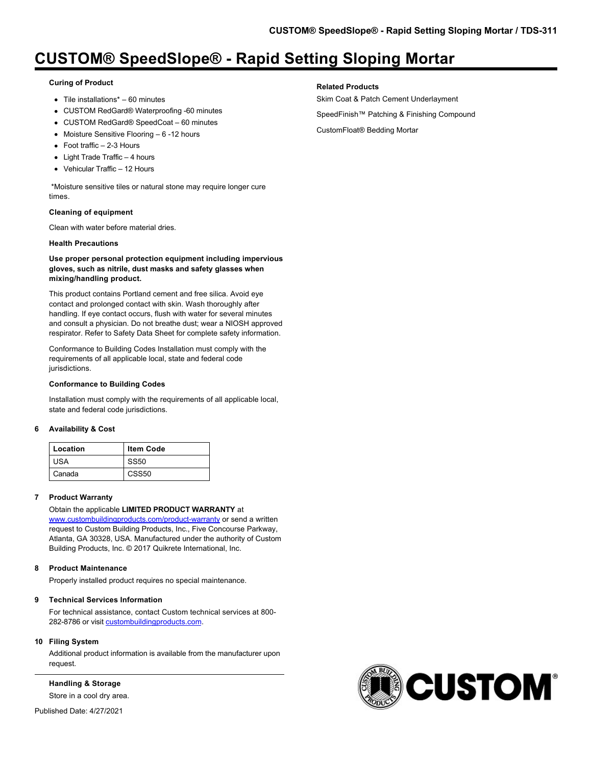## **Curing of Product**

- $\bullet$  Tile installations\* 60 minutes
- CUSTOM RedGard® Waterproofing -60 minutes
- CUSTOM RedGard® SpeedCoat 60 minutes
- Moisture Sensitive Flooring 6 -12 hours
- Foot traffic 2-3 Hours
- Light Trade Traffic 4 hours
- Vehicular Traffic 12 Hours

 \*Moisture sensitive tiles or natural stone may require longer cure times.

## **Cleaning of equipment**

Clean with water before material dries.

## **Health Precautions**

## **Use proper personal protection equipment including impervious gloves, such as nitrile, dust masks and safety glasses when mixing/handling product.**

This product contains Portland cement and free silica. Avoid eye contact and prolonged contact with skin. Wash thoroughly after handling. If eye contact occurs, flush with water for several minutes and consult a physician. Do not breathe dust; wear a NIOSH approved respirator. Refer to Safety Data Sheet for complete safety information.

Conformance to Building Codes Installation must comply with the requirements of all applicable local, state and federal code jurisdictions.

## **Conformance to Building Codes**

Installation must comply with the requirements of all applicable local, state and federal code jurisdictions.

## **6 Availability & Cost**

| Location | <b>Item Code</b> |
|----------|------------------|
| USA      | <b>SS50</b>      |
| Canada   | <b>CSS50</b>     |

## **7 Product Warranty**

Obtain the applicable **LIMITED PRODUCT WARRANTY** at [www.custombuildingproducts.com/product-warranty](http://www.custombuildingproducts.com/product-warranty) or send a written request to Custom Building Products, Inc., Five Concourse Parkway, Atlanta, GA 30328, USA. Manufactured under the authority of Custom Building Products, Inc. © 2017 Quikrete International, Inc.

## **8 Product Maintenance**

Properly installed product requires no special maintenance.

## **9 Technical Services Information**

For technical assistance, contact Custom technical services at 800 282-8786 or visit [custombuildingproducts.com.](https://www.custombuildingproducts.com/support/contact-us.aspx)

## **10 Filing System**

Additional product information is available from the manufacturer upon request.

**Handling & Storage**

Store in a cool dry area.

Published Date: 4/27/2021

## **Related Products**

- Skim Coat & Patch Cement Underlayment SpeedFinish™ Patching & Finishing Compound
- CustomFloat® Bedding Mortar